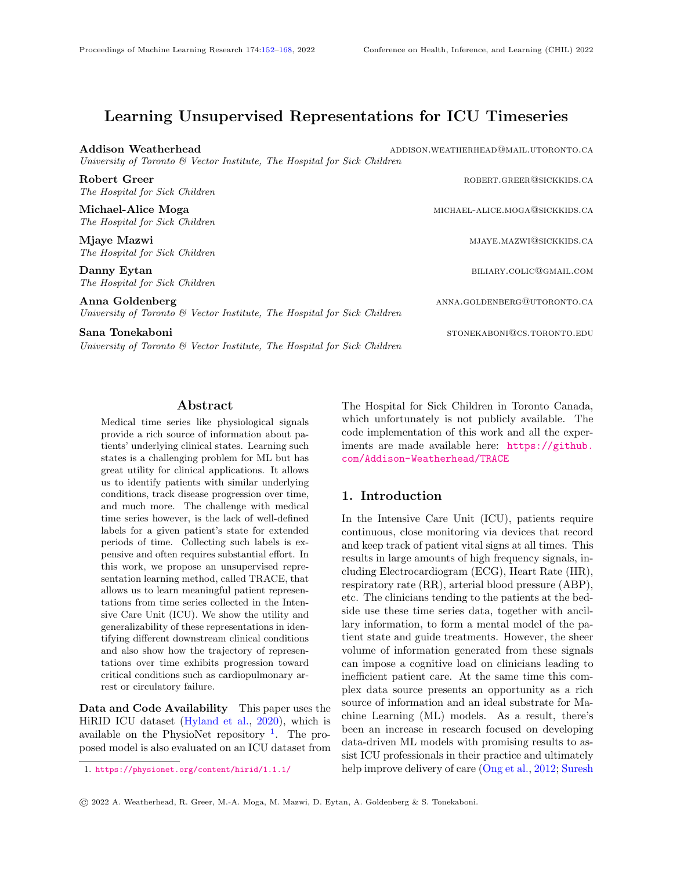# Learning Unsupervised Representations for ICU Timeseries

Addison Weatherhead and addison.weatherhead addison.weatherhead addison.weatherhead

University of Toronto & Vector Institute, The Hospital for Sick Children Robert Greer **Robert Greer Robert Greer robert.green@sickkids.ca** The Hospital for Sick Children Michael-Alice Moga michael-alice Moga michael-alice moga michael-alice.moga@sickkids.ca

The Hospital for Sick Children

Mjaye Mazwi miasta miasta miasta wa kutoka wa mji wa wakazi wa Mjaye Mazwi miasta wa Mjaye Mazwi mkuu wa Mjaye M The Hospital for Sick Children

Danny Eytan biliary.colic@gmail.com The Hospital for Sick Children

Anna Goldenberg anna.goldenberg anna.goldenberg anna.goldenberg@utoronto.ca University of Toronto & Vector Institute, The Hospital for Sick Children

Sana Tonekaboni stonekaboni stonekaboni stonekaboni stonekaboni stonekaboni stonekaboni stonekaboni stonekaboni University of Toronto & Vector Institute, The Hospital for Sick Children

## Abstract

<span id="page-0-0"></span>Medical time series like physiological signals provide a rich source of information about patients' underlying clinical states. Learning such states is a challenging problem for ML but has great utility for clinical applications. It allows us to identify patients with similar underlying conditions, track disease progression over time, and much more. The challenge with medical time series however, is the lack of well-defined labels for a given patient's state for extended periods of time. Collecting such labels is expensive and often requires substantial effort. In this work, we propose an unsupervised representation learning method, called TRACE, that allows us to learn meaningful patient representations from time series collected in the Intensive Care Unit (ICU). We show the utility and generalizability of these representations in identifying different downstream clinical conditions and also show how the trajectory of representations over time exhibits progression toward critical conditions such as cardiopulmonary arrest or circulatory failure.

Data and Code Availability This paper uses the HiRID ICU dataset [\(Hyland et al.,](#page-11-0) [2020\)](#page-11-0), which is available on the PhysioNet repository  $\frac{1}{1}$  $\frac{1}{1}$  $\frac{1}{1}$ . The proposed model is also evaluated on an ICU dataset from The Hospital for Sick Children in Toronto Canada, which unfortunately is not publicly available. The code implementation of this work and all the experiments are made available here: [https://github.](https://github.com/Addison-Weatherhead/TRACE) [com/Addison-Weatherhead/TRACE](https://github.com/Addison-Weatherhead/TRACE)

## 1. Introduction

In the Intensive Care Unit (ICU), patients require continuous, close monitoring via devices that record and keep track of patient vital signs at all times. This results in large amounts of high frequency signals, including Electrocardiogram (ECG), Heart Rate (HR), respiratory rate (RR), arterial blood pressure (ABP), etc. The clinicians tending to the patients at the bedside use these time series data, together with ancillary information, to form a mental model of the patient state and guide treatments. However, the sheer volume of information generated from these signals can impose a cognitive load on clinicians leading to inefficient patient care. At the same time this complex data source presents an opportunity as a rich source of information and an ideal substrate for Machine Learning (ML) models. As a result, there's been an increase in research focused on developing data-driven ML models with promising results to assist ICU professionals in their practice and ultimately help improve delivery of care [\(Ong et al.,](#page-11-1) [2012;](#page-11-1) [Suresh](#page-12-0)

<span id="page-0-1"></span><sup>1.</sup> <https://physionet.org/content/hirid/1.1.1/>

<sup>©</sup> 2022 A. Weatherhead, R. Greer, M.-A. Moga, M. Mazwi, D. Eytan, A. Goldenberg & S. Tonekaboni.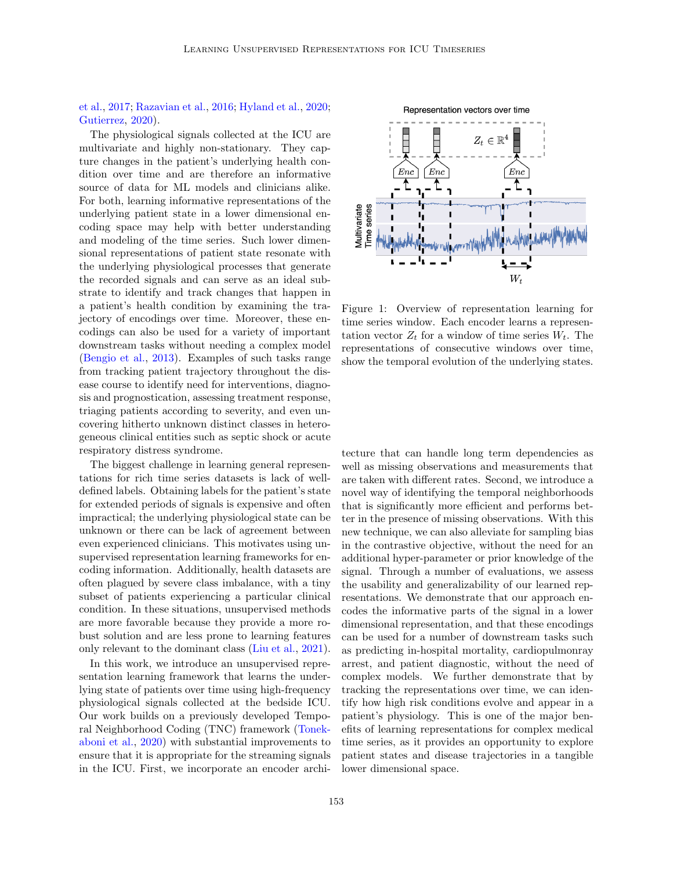## [et al.,](#page-12-0) [2017;](#page-12-0) [Razavian et al.,](#page-12-1) [2016;](#page-12-1) [Hyland et al.,](#page-11-0) [2020;](#page-11-0) [Gutierrez,](#page-11-2) [2020\)](#page-11-2).

The physiological signals collected at the ICU are multivariate and highly non-stationary. They capture changes in the patient's underlying health condition over time and are therefore an informative source of data for ML models and clinicians alike. For both, learning informative representations of the underlying patient state in a lower dimensional encoding space may help with better understanding and modeling of the time series. Such lower dimensional representations of patient state resonate with the underlying physiological processes that generate the recorded signals and can serve as an ideal substrate to identify and track changes that happen in a patient's health condition by examining the trajectory of encodings over time. Moreover, these encodings can also be used for a variety of important downstream tasks without needing a complex model [\(Bengio et al.,](#page-10-0) [2013\)](#page-10-0). Examples of such tasks range from tracking patient trajectory throughout the disease course to identify need for interventions, diagnosis and prognostication, assessing treatment response, triaging patients according to severity, and even uncovering hitherto unknown distinct classes in heterogeneous clinical entities such as septic shock or acute respiratory distress syndrome.

The biggest challenge in learning general representations for rich time series datasets is lack of welldefined labels. Obtaining labels for the patient's state for extended periods of signals is expensive and often impractical; the underlying physiological state can be unknown or there can be lack of agreement between even experienced clinicians. This motivates using unsupervised representation learning frameworks for encoding information. Additionally, health datasets are often plagued by severe class imbalance, with a tiny subset of patients experiencing a particular clinical condition. In these situations, unsupervised methods are more favorable because they provide a more robust solution and are less prone to learning features only relevant to the dominant class [\(Liu et al.,](#page-11-3) [2021\)](#page-11-3).

In this work, we introduce an unsupervised representation learning framework that learns the underlying state of patients over time using high-frequency physiological signals collected at the bedside ICU. Our work builds on a previously developed Temporal Neighborhood Coding (TNC) framework [\(Tonek](#page-12-2)[aboni et al.,](#page-12-2) [2020\)](#page-12-2) with substantial improvements to ensure that it is appropriate for the streaming signals in the ICU. First, we incorporate an encoder archi-



Figure 1: Overview of representation learning for time series window. Each encoder learns a representation vector  $Z_t$  for a window of time series  $W_t$ . The representations of consecutive windows over time, show the temporal evolution of the underlying states.

tecture that can handle long term dependencies as well as missing observations and measurements that are taken with different rates. Second, we introduce a novel way of identifying the temporal neighborhoods that is significantly more efficient and performs better in the presence of missing observations. With this new technique, we can also alleviate for sampling bias in the contrastive objective, without the need for an additional hyper-parameter or prior knowledge of the signal. Through a number of evaluations, we assess the usability and generalizability of our learned representations. We demonstrate that our approach encodes the informative parts of the signal in a lower dimensional representation, and that these encodings can be used for a number of downstream tasks such as predicting in-hospital mortality, cardiopulmonray arrest, and patient diagnostic, without the need of complex models. We further demonstrate that by tracking the representations over time, we can identify how high risk conditions evolve and appear in a patient's physiology. This is one of the major benefits of learning representations for complex medical time series, as it provides an opportunity to explore patient states and disease trajectories in a tangible lower dimensional space.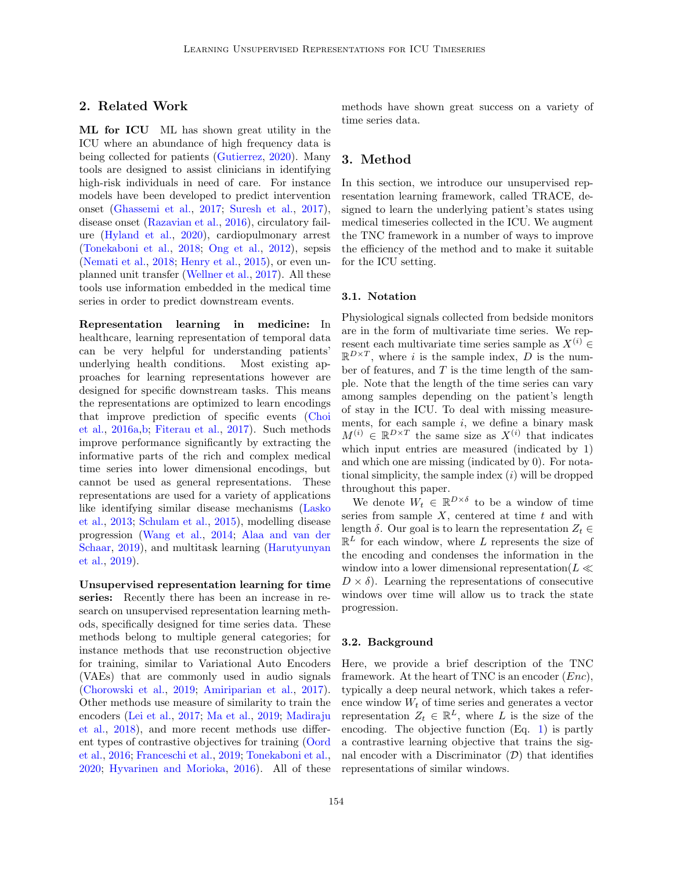## 2. Related Work

ML for ICU ML has shown great utility in the ICU where an abundance of high frequency data is being collected for patients [\(Gutierrez,](#page-11-2) [2020\)](#page-11-2). Many tools are designed to assist clinicians in identifying high-risk individuals in need of care. For instance models have been developed to predict intervention onset [\(Ghassemi et al.,](#page-11-4) [2017;](#page-11-4) [Suresh et al.,](#page-12-0) [2017\)](#page-12-0), disease onset [\(Razavian et al.,](#page-12-1) [2016\)](#page-12-1), circulatory failure [\(Hyland et al.,](#page-11-0) [2020\)](#page-11-0), cardiopulmonary arrest [\(Tonekaboni et al.,](#page-12-3) [2018;](#page-12-3) [Ong et al.,](#page-11-1) [2012\)](#page-11-1), sepsis [\(Nemati et al.,](#page-11-5) [2018;](#page-11-5) [Henry et al.,](#page-11-6) [2015\)](#page-11-6), or even unplanned unit transfer [\(Wellner et al.,](#page-12-4) [2017\)](#page-12-4). All these tools use information embedded in the medical time series in order to predict downstream events.

Representation learning in medicine: In healthcare, learning representation of temporal data can be very helpful for understanding patients' underlying health conditions. Most existing approaches for learning representations however are designed for specific downstream tasks. This means the representations are optimized to learn encodings that improve prediction of specific events [\(Choi](#page-10-1) [et al.,](#page-10-1) [2016a](#page-10-1)[,b;](#page-11-7) [Fiterau et al.,](#page-11-8) [2017\)](#page-11-8). Such methods improve performance significantly by extracting the informative parts of the rich and complex medical time series into lower dimensional encodings, but cannot be used as general representations. These representations are used for a variety of applications like identifying similar disease mechanisms [\(Lasko](#page-11-9) [et al.,](#page-11-9) [2013;](#page-11-9) [Schulam et al.,](#page-12-5) [2015\)](#page-12-5), modelling disease progression [\(Wang et al.,](#page-12-6) [2014;](#page-12-6) [Alaa and van der](#page-10-2) [Schaar,](#page-10-2) [2019\)](#page-10-2), and multitask learning [\(Harutyunyan](#page-11-10) [et al.,](#page-11-10) [2019\)](#page-11-10).

Unsupervised representation learning for time series: Recently there has been an increase in research on unsupervised representation learning methods, specifically designed for time series data. These methods belong to multiple general categories; for instance methods that use reconstruction objective for training, similar to Variational Auto Encoders (VAEs) that are commonly used in audio signals [\(Chorowski et al.,](#page-11-11) [2019;](#page-11-11) [Amiriparian et al.,](#page-10-3) [2017\)](#page-10-3). Other methods use measure of similarity to train the encoders [\(Lei et al.,](#page-11-12) [2017;](#page-11-12) [Ma et al.,](#page-11-13) [2019;](#page-11-13) [Madiraju](#page-11-14) [et al.,](#page-11-14) [2018\)](#page-11-14), and more recent methods use different types of contrastive objectives for training [\(Oord](#page-12-7) [et al.,](#page-12-7) [2016;](#page-12-7) [Franceschi et al.,](#page-11-15) [2019;](#page-11-15) [Tonekaboni et al.,](#page-12-2) [2020;](#page-12-2) [Hyvarinen and Morioka,](#page-11-16) [2016\)](#page-11-16). All of these methods have shown great success on a variety of time series data.

### 3. Method

In this section, we introduce our unsupervised representation learning framework, called TRACE, designed to learn the underlying patient's states using medical timeseries collected in the ICU. We augment the TNC framework in a number of ways to improve the efficiency of the method and to make it suitable for the ICU setting.

### 3.1. Notation

Physiological signals collected from bedside monitors are in the form of multivariate time series. We represent each multivariate time series sample as  $X^{(i)}$  ∈  $\mathbb{R}^{D\times T}$ , where i is the sample index, D is the number of features, and  $T$  is the time length of the sample. Note that the length of the time series can vary among samples depending on the patient's length of stay in the ICU. To deal with missing measurements, for each sample  $i$ , we define a binary mask  $M^{(i)} \in \mathbb{R}^{D \times T}$  the same size as  $X^{(i)}$  that indicates which input entries are measured (indicated by 1) and which one are missing (indicated by 0). For notational simplicity, the sample index  $(i)$  will be dropped throughout this paper.

We denote  $W_t \in \mathbb{R}^{D \times \delta}$  to be a window of time series from sample  $X$ , centered at time  $t$  and with length  $\delta$ . Our goal is to learn the representation  $Z_t \in$  $\mathbb{R}^L$  for each window, where L represents the size of the encoding and condenses the information in the window into a lower dimensional representation( $L \ll$  $D \times \delta$ . Learning the representations of consecutive windows over time will allow us to track the state progression.

#### 3.2. Background

Here, we provide a brief description of the TNC framework. At the heart of TNC is an encoder  $(Enc),$ typically a deep neural network, which takes a reference window  $W_t$  of time series and generates a vector representation  $Z_t \in \mathbb{R}^L$ , where L is the size of the encoding. The objective function (Eq. [1\)](#page-3-0) is partly a contrastive learning objective that trains the signal encoder with a Discriminator  $(\mathcal{D})$  that identifies representations of similar windows.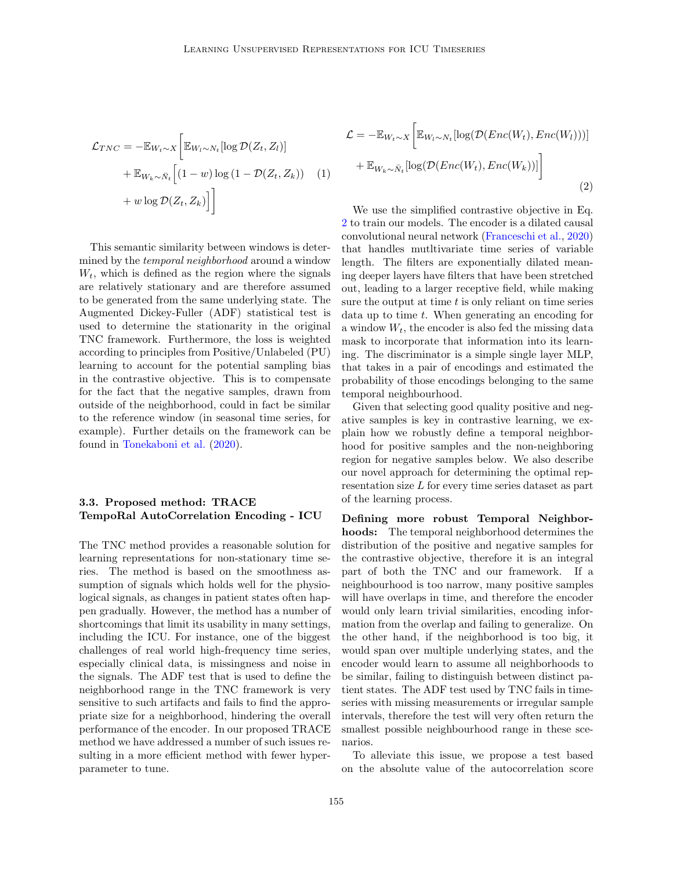<span id="page-3-0"></span>
$$
\mathcal{L}_{TNC} = -\mathbb{E}_{W_t \sim X} \bigg[ \mathbb{E}_{W_l \sim N_t} [\log \mathcal{D}(Z_t, Z_l)]
$$

$$
+ \mathbb{E}_{W_k \sim \bar{N}_t} \bigg[ (1 - w) \log (1 - \mathcal{D}(Z_t, Z_k)) \bigg] \tag{1}
$$

$$
+ w \log \mathcal{D}(Z_t, Z_k) \bigg] \bigg]
$$

This semantic similarity between windows is determined by the temporal neighborhood around a window  $W_t$ , which is defined as the region where the signals are relatively stationary and are therefore assumed to be generated from the same underlying state. The Augmented Dickey-Fuller (ADF) statistical test is used to determine the stationarity in the original TNC framework. Furthermore, the loss is weighted according to principles from Positive/Unlabeled (PU) learning to account for the potential sampling bias in the contrastive objective. This is to compensate for the fact that the negative samples, drawn from outside of the neighborhood, could in fact be similar to the reference window (in seasonal time series, for example). Further details on the framework can be found in [Tonekaboni et al.](#page-12-2) [\(2020\)](#page-12-2).

## 3.3. Proposed method: TRACE TempoRal AutoCorrelation Encoding - ICU

The TNC method provides a reasonable solution for learning representations for non-stationary time series. The method is based on the smoothness assumption of signals which holds well for the physiological signals, as changes in patient states often happen gradually. However, the method has a number of shortcomings that limit its usability in many settings, including the ICU. For instance, one of the biggest challenges of real world high-frequency time series, especially clinical data, is missingness and noise in the signals. The ADF test that is used to define the neighborhood range in the TNC framework is very sensitive to such artifacts and fails to find the appropriate size for a neighborhood, hindering the overall performance of the encoder. In our proposed TRACE method we have addressed a number of such issues resulting in a more efficient method with fewer hyperparameter to tune.

<span id="page-3-1"></span>
$$
\mathcal{L} = -\mathbb{E}_{W_t \sim X} \left[ \mathbb{E}_{W_l \sim N_t} [\log(\mathcal{D}(Enc(W_t), Enc(W_l)))] + \mathbb{E}_{W_k \sim \bar{N}_t} [\log(\mathcal{D}(Enc(W_t), Enc(W_k)))] \right]
$$
\n(2)

We use the simplified contrastive objective in Eq. [2](#page-3-1) to train our models. The encoder is a dilated causal convolutional neural network [\(Franceschi et al.,](#page-11-17) [2020\)](#page-11-17) that handles mutltivariate time series of variable length. The filters are exponentially dilated meaning deeper layers have filters that have been stretched out, leading to a larger receptive field, while making sure the output at time  $t$  is only reliant on time series data up to time t. When generating an encoding for a window  $W_t$ , the encoder is also fed the missing data mask to incorporate that information into its learning. The discriminator is a simple single layer MLP, that takes in a pair of encodings and estimated the probability of those encodings belonging to the same temporal neighbourhood.

Given that selecting good quality positive and negative samples is key in contrastive learning, we explain how we robustly define a temporal neighborhood for positive samples and the non-neighboring region for negative samples below. We also describe our novel approach for determining the optimal representation size L for every time series dataset as part of the learning process.

Defining more robust Temporal Neighborhoods: The temporal neighborhood determines the distribution of the positive and negative samples for the contrastive objective, therefore it is an integral part of both the TNC and our framework. If a neighbourhood is too narrow, many positive samples will have overlaps in time, and therefore the encoder would only learn trivial similarities, encoding information from the overlap and failing to generalize. On the other hand, if the neighborhood is too big, it would span over multiple underlying states, and the encoder would learn to assume all neighborhoods to be similar, failing to distinguish between distinct patient states. The ADF test used by TNC fails in timeseries with missing measurements or irregular sample intervals, therefore the test will very often return the smallest possible neighbourhood range in these scenarios.

To alleviate this issue, we propose a test based on the absolute value of the autocorrelation score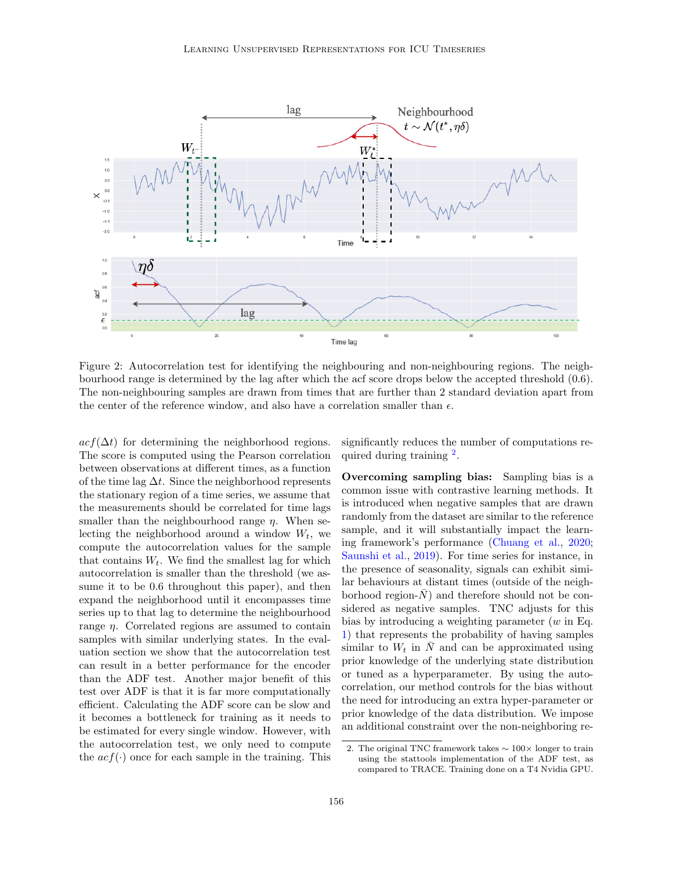<span id="page-4-1"></span>

Figure 2: Autocorrelation test for identifying the neighbouring and non-neighbouring regions. The neighbourhood range is determined by the lag after which the acf score drops below the accepted threshold (0.6). The non-neighbouring samples are drawn from times that are further than 2 standard deviation apart from the center of the reference window, and also have a correlation smaller than  $\epsilon$ .

 $\alpha c f(\Delta t)$  for determining the neighborhood regions. The score is computed using the Pearson correlation between observations at different times, as a function of the time lag  $\Delta t$ . Since the neighborhood represents the stationary region of a time series, we assume that the measurements should be correlated for time lags smaller than the neighbourhood range  $\eta$ . When selecting the neighborhood around a window  $W_t$ , we compute the autocorrelation values for the sample that contains  $W_t$ . We find the smallest lag for which autocorrelation is smaller than the threshold (we assume it to be 0.6 throughout this paper), and then expand the neighborhood until it encompasses time series up to that lag to determine the neighbourhood range  $\eta$ . Correlated regions are assumed to contain samples with similar underlying states. In the evaluation section we show that the autocorrelation test can result in a better performance for the encoder than the ADF test. Another major benefit of this test over ADF is that it is far more computationally efficient. Calculating the ADF score can be slow and it becomes a bottleneck for training as it needs to be estimated for every single window. However, with the autocorrelation test, we only need to compute the  $acf(\cdot)$  once for each sample in the training. This significantly reduces the number of computations re-quired during training <sup>[2](#page-4-0)</sup>.

Overcoming sampling bias: Sampling bias is a common issue with contrastive learning methods. It is introduced when negative samples that are drawn randomly from the dataset are similar to the reference sample, and it will substantially impact the learning framework's performance [\(Chuang et al.,](#page-11-18) [2020;](#page-11-18) [Saunshi et al.,](#page-12-8) [2019\)](#page-12-8). For time series for instance, in the presence of seasonality, signals can exhibit similar behaviours at distant times (outside of the neighborhood region- $\overline{N}$  and therefore should not be considered as negative samples. TNC adjusts for this bias by introducing a weighting parameter  $(w \text{ in Eq.})$ [1\)](#page-3-0) that represents the probability of having samples similar to  $W_t$  in  $\overline{N}$  and can be approximated using prior knowledge of the underlying state distribution or tuned as a hyperparameter. By using the autocorrelation, our method controls for the bias without the need for introducing an extra hyper-parameter or prior knowledge of the data distribution. We impose an additional constraint over the non-neighboring re-

<span id="page-4-0"></span><sup>2.</sup> The original TNC framework takes ∼ 100× longer to train using the stattools implementation of the ADF test, as compared to TRACE. Training done on a T4 Nvidia GPU.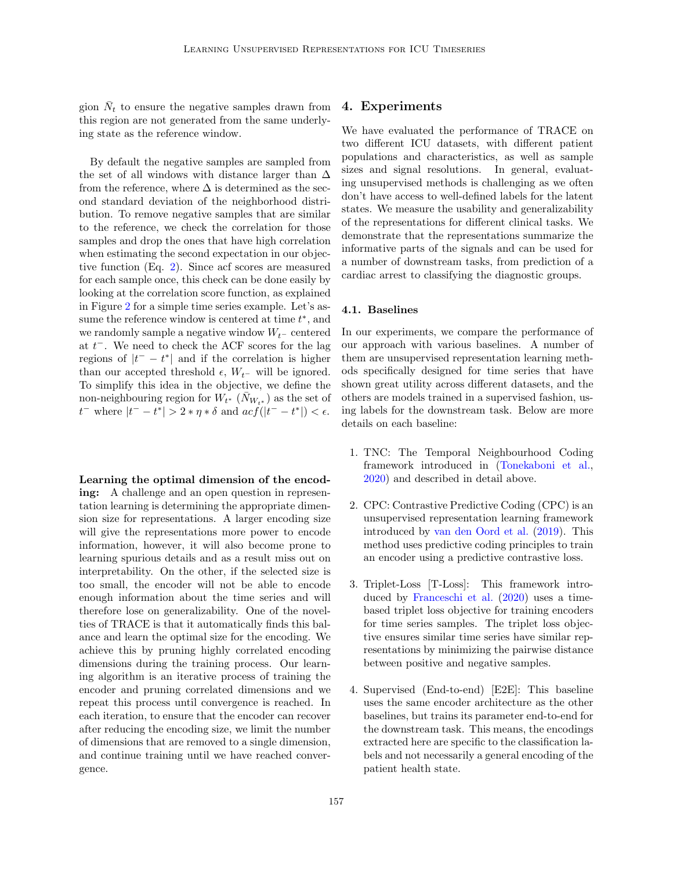gion  $\bar{N}_t$  to ensure the negative samples drawn from this region are not generated from the same underlying state as the reference window.

By default the negative samples are sampled from the set of all windows with distance larger than  $\Delta$ from the reference, where  $\Delta$  is determined as the second standard deviation of the neighborhood distribution. To remove negative samples that are similar to the reference, we check the correlation for those samples and drop the ones that have high correlation when estimating the second expectation in our objective function (Eq. [2\)](#page-3-1). Since acf scores are measured for each sample once, this check can be done easily by looking at the correlation score function, as explained in Figure [2](#page-4-1) for a simple time series example. Let's assume the reference window is centered at time  $t^*$ , and we randomly sample a negative window  $W_{t-}$  centered at  $t^-$ . We need to check the ACF scores for the lag regions of  $|t^- - t^*|$  and if the correlation is higher than our accepted threshold  $\epsilon$ ,  $W_{t-}$  will be ignored. To simplify this idea in the objective, we define the non-neighbouring region for  $W_{t^*}(\bar{N}_{W_{t^*}})$  as the set of  $t^-$  where  $|t^- - t^*| > 2 * η * δ$  and  $acf(|t^- - t^*|) < ε$ .

Learning the optimal dimension of the encoding: A challenge and an open question in representation learning is determining the appropriate dimension size for representations. A larger encoding size will give the representations more power to encode information, however, it will also become prone to learning spurious details and as a result miss out on interpretability. On the other, if the selected size is too small, the encoder will not be able to encode enough information about the time series and will therefore lose on generalizability. One of the novelties of TRACE is that it automatically finds this balance and learn the optimal size for the encoding. We achieve this by pruning highly correlated encoding dimensions during the training process. Our learning algorithm is an iterative process of training the encoder and pruning correlated dimensions and we repeat this process until convergence is reached. In each iteration, to ensure that the encoder can recover after reducing the encoding size, we limit the number of dimensions that are removed to a single dimension, and continue training until we have reached convergence.

### 4. Experiments

We have evaluated the performance of TRACE on two different ICU datasets, with different patient populations and characteristics, as well as sample sizes and signal resolutions. In general, evaluating unsupervised methods is challenging as we often don't have access to well-defined labels for the latent states. We measure the usability and generalizability of the representations for different clinical tasks. We demonstrate that the representations summarize the informative parts of the signals and can be used for a number of downstream tasks, from prediction of a cardiac arrest to classifying the diagnostic groups.

### 4.1. Baselines

In our experiments, we compare the performance of our approach with various baselines. A number of them are unsupervised representation learning methods specifically designed for time series that have shown great utility across different datasets, and the others are models trained in a supervised fashion, using labels for the downstream task. Below are more details on each baseline:

- 1. TNC: The Temporal Neighbourhood Coding framework introduced in [\(Tonekaboni et al.,](#page-12-2) [2020\)](#page-12-2) and described in detail above.
- 2. CPC: Contrastive Predictive Coding (CPC) is an unsupervised representation learning framework introduced by [van den Oord et al.](#page-12-9) [\(2019\)](#page-12-9). This method uses predictive coding principles to train an encoder using a predictive contrastive loss.
- 3. Triplet-Loss [T-Loss]: This framework introduced by [Franceschi et al.](#page-11-17) [\(2020\)](#page-11-17) uses a timebased triplet loss objective for training encoders for time series samples. The triplet loss objective ensures similar time series have similar representations by minimizing the pairwise distance between positive and negative samples.
- 4. Supervised (End-to-end) [E2E]: This baseline uses the same encoder architecture as the other baselines, but trains its parameter end-to-end for the downstream task. This means, the encodings extracted here are specific to the classification labels and not necessarily a general encoding of the patient health state.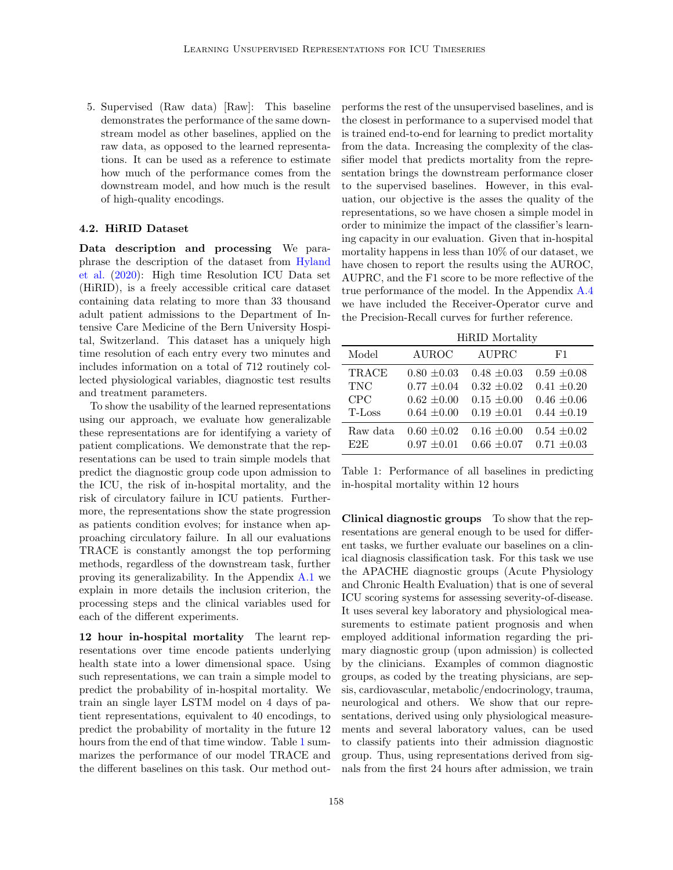5. Supervised (Raw data) [Raw]: This baseline demonstrates the performance of the same downstream model as other baselines, applied on the raw data, as opposed to the learned representations. It can be used as a reference to estimate how much of the performance comes from the downstream model, and how much is the result of high-quality encodings.

### 4.2. HiRID Dataset

Data description and processing We paraphrase the description of the dataset from [Hyland](#page-11-0) [et al.](#page-11-0) [\(2020\)](#page-11-0): High time Resolution ICU Data set (HiRID), is a freely accessible critical care dataset containing data relating to more than 33 thousand adult patient admissions to the Department of Intensive Care Medicine of the Bern University Hospital, Switzerland. This dataset has a uniquely high time resolution of each entry every two minutes and includes information on a total of 712 routinely collected physiological variables, diagnostic test results and treatment parameters.

To show the usability of the learned representations using our approach, we evaluate how generalizable these representations are for identifying a variety of patient complications. We demonstrate that the representations can be used to train simple models that predict the diagnostic group code upon admission to the ICU, the risk of in-hospital mortality, and the risk of circulatory failure in ICU patients. Furthermore, the representations show the state progression as patients condition evolves; for instance when approaching circulatory failure. In all our evaluations TRACE is constantly amongst the top performing methods, regardless of the downstream task, further proving its generalizability. In the Appendix [A.1](#page-13-0) we explain in more details the inclusion criterion, the processing steps and the clinical variables used for each of the different experiments.

12 hour in-hospital mortality The learnt representations over time encode patients underlying health state into a lower dimensional space. Using such representations, we can train a simple model to predict the probability of in-hospital mortality. We train an single layer LSTM model on 4 days of patient representations, equivalent to 40 encodings, to predict the probability of mortality in the future 12 hours from the end of that time window. Table [1](#page-6-0) summarizes the performance of our model TRACE and the different baselines on this task. Our method outperforms the rest of the unsupervised baselines, and is the closest in performance to a supervised model that is trained end-to-end for learning to predict mortality from the data. Increasing the complexity of the classifier model that predicts mortality from the representation brings the downstream performance closer to the supervised baselines. However, in this evaluation, our objective is the asses the quality of the representations, so we have chosen a simple model in order to minimize the impact of the classifier's learning capacity in our evaluation. Given that in-hospital mortality happens in less than 10% of our dataset, we have chosen to report the results using the AUROC, AUPRC, and the F1 score to be more reflective of the true performance of the model. In the Appendix [A.4](#page-14-0) we have included the Receiver-Operator curve and the Precision-Recall curves for further reference.

HiRID Mortality

<span id="page-6-0"></span>

| Model      | <b>AUROC</b>    | <b>AUPRC</b>    | F1              |
|------------|-----------------|-----------------|-----------------|
| TRACE      | $0.80 \pm 0.03$ | $0.48 \pm 0.03$ | $0.59 \pm 0.08$ |
| <b>TNC</b> | $0.77 \pm 0.04$ | $0.32 \pm 0.02$ | $0.41 \pm 0.20$ |
| CPC        | $0.62 \pm 0.00$ | $0.15 \pm 0.00$ | $0.46 \pm 0.06$ |
| T-Loss     | $0.64 \pm 0.00$ | $0.19 \pm 0.01$ | $0.44 \pm 0.19$ |
| Raw data   | $0.60 \pm 0.02$ | $0.16 \pm 0.00$ | $0.54 \pm 0.02$ |
| E2E        | $0.97 \pm 0.01$ | $0.66 \pm 0.07$ | $0.71 \pm 0.03$ |

Table 1: Performance of all baselines in predicting in-hospital mortality within 12 hours

Clinical diagnostic groups To show that the representations are general enough to be used for different tasks, we further evaluate our baselines on a clinical diagnosis classification task. For this task we use the APACHE diagnostic groups (Acute Physiology and Chronic Health Evaluation) that is one of several ICU scoring systems for assessing severity-of-disease. It uses several key laboratory and physiological measurements to estimate patient prognosis and when employed additional information regarding the primary diagnostic group (upon admission) is collected by the clinicians. Examples of common diagnostic groups, as coded by the treating physicians, are sepsis, cardiovascular, metabolic/endocrinology, trauma, neurological and others. We show that our representations, derived using only physiological measurements and several laboratory values, can be used to classify patients into their admission diagnostic group. Thus, using representations derived from signals from the first 24 hours after admission, we train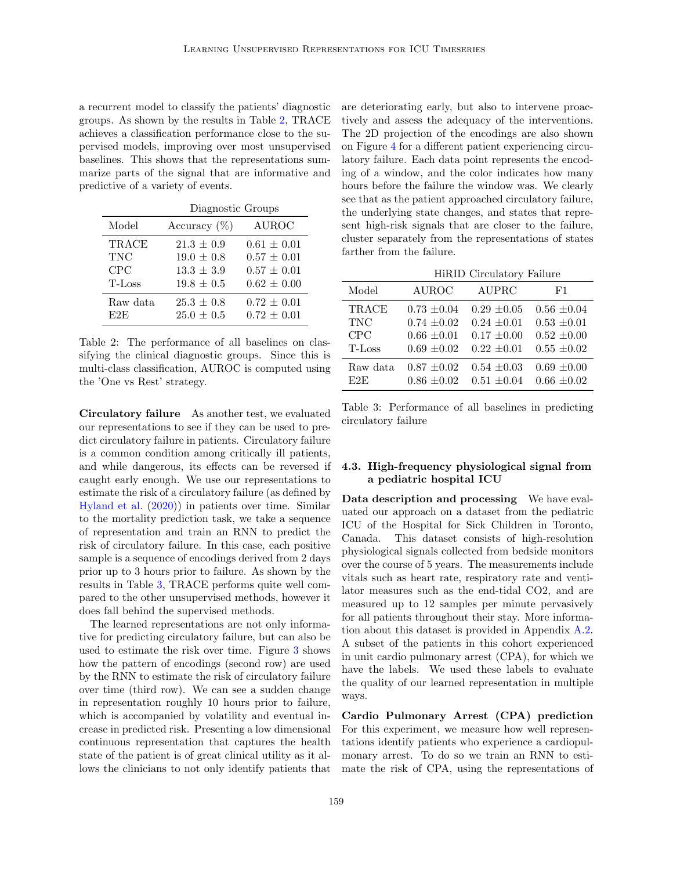a recurrent model to classify the patients' diagnostic groups. As shown by the results in Table [2,](#page-7-0) TRACE achieves a classification performance close to the supervised models, improving over most unsupervised baselines. This shows that the representations summarize parts of the signal that are informative and predictive of a variety of events.

<span id="page-7-0"></span>

|            | Diagnostic Groups |                 |  |
|------------|-------------------|-----------------|--|
| Model      | Accuracy $(\%)$   | <b>AUROC</b>    |  |
| TRACE      | $21.3 \pm 0.9$    | $0.61 \pm 0.01$ |  |
| <b>TNC</b> | $19.0 \pm 0.8$    | $0.57 \pm 0.01$ |  |
| CPC        | $13.3 \pm 3.9$    | $0.57 \pm 0.01$ |  |
| T-Loss     | $19.8 \pm 0.5$    | $0.62 \pm 0.00$ |  |
| Raw data   | $25.3 \pm 0.8$    | $0.72 \pm 0.01$ |  |
| E2E        | $25.0 \pm 0.5$    | $0.72 \pm 0.01$ |  |

Table 2: The performance of all baselines on classifying the clinical diagnostic groups. Since this is multi-class classification, AUROC is computed using the 'One vs Rest' strategy.

Circulatory failure As another test, we evaluated our representations to see if they can be used to predict circulatory failure in patients. Circulatory failure is a common condition among critically ill patients, and while dangerous, its effects can be reversed if caught early enough. We use our representations to estimate the risk of a circulatory failure (as defined by [Hyland et al.](#page-11-0) [\(2020\)](#page-11-0)) in patients over time. Similar to the mortality prediction task, we take a sequence of representation and train an RNN to predict the risk of circulatory failure. In this case, each positive sample is a sequence of encodings derived from 2 days prior up to 3 hours prior to failure. As shown by the results in Table [3,](#page-7-1) TRACE performs quite well compared to the other unsupervised methods, however it does fall behind the supervised methods.

The learned representations are not only informative for predicting circulatory failure, but can also be used to estimate the risk over time. Figure [3](#page-8-0) shows how the pattern of encodings (second row) are used by the RNN to estimate the risk of circulatory failure over time (third row). We can see a sudden change in representation roughly 10 hours prior to failure, which is accompanied by volatility and eventual increase in predicted risk. Presenting a low dimensional continuous representation that captures the health state of the patient is of great clinical utility as it allows the clinicians to not only identify patients that

are deteriorating early, but also to intervene proactively and assess the adequacy of the interventions. The 2D projection of the encodings are also shown on Figure [4](#page-8-1) for a different patient experiencing circulatory failure. Each data point represents the encoding of a window, and the color indicates how many hours before the failure the window was. We clearly see that as the patient approached circulatory failure, the underlying state changes, and states that represent high-risk signals that are closer to the failure, cluster separately from the representations of states farther from the failure.

HiRID Circulatory Failure

<span id="page-7-1"></span>

| Model    | <b>AUROC</b>    | AUPRC           | F1              |
|----------|-----------------|-----------------|-----------------|
| TRACE    | $0.73 \pm 0.04$ | $0.29 \pm 0.05$ | $0.56 \pm 0.04$ |
| TNC      | $0.74 \pm 0.02$ | $0.24 \pm 0.01$ | $0.53 \pm 0.01$ |
| CPC      | $0.66 \pm 0.01$ | $0.17 \pm 0.00$ | $0.52 \pm 0.00$ |
| T-Loss   | $0.69 \pm 0.02$ | $0.22 \pm 0.01$ | $0.55 \pm 0.02$ |
| Raw data | $0.87 \pm 0.02$ | $0.54 \pm 0.03$ | $0.69 \pm 0.00$ |
| E2E      | $0.86 \pm 0.02$ | $0.51 \pm 0.04$ | $0.66 \pm 0.02$ |

Table 3: Performance of all baselines in predicting circulatory failure

### 4.3. High-frequency physiological signal from a pediatric hospital ICU

Data description and processing We have evaluated our approach on a dataset from the pediatric ICU of the Hospital for Sick Children in Toronto, Canada. This dataset consists of high-resolution physiological signals collected from bedside monitors over the course of 5 years. The measurements include vitals such as heart rate, respiratory rate and ventilator measures such as the end-tidal CO2, and are measured up to 12 samples per minute pervasively for all patients throughout their stay. More information about this dataset is provided in Appendix [A.2.](#page-14-1) A subset of the patients in this cohort experienced in unit cardio pulmonary arrest (CPA), for which we have the labels. We used these labels to evaluate the quality of our learned representation in multiple ways.

Cardio Pulmonary Arrest (CPA) prediction For this experiment, we measure how well representations identify patients who experience a cardiopulmonary arrest. To do so we train an RNN to estimate the risk of CPA, using the representations of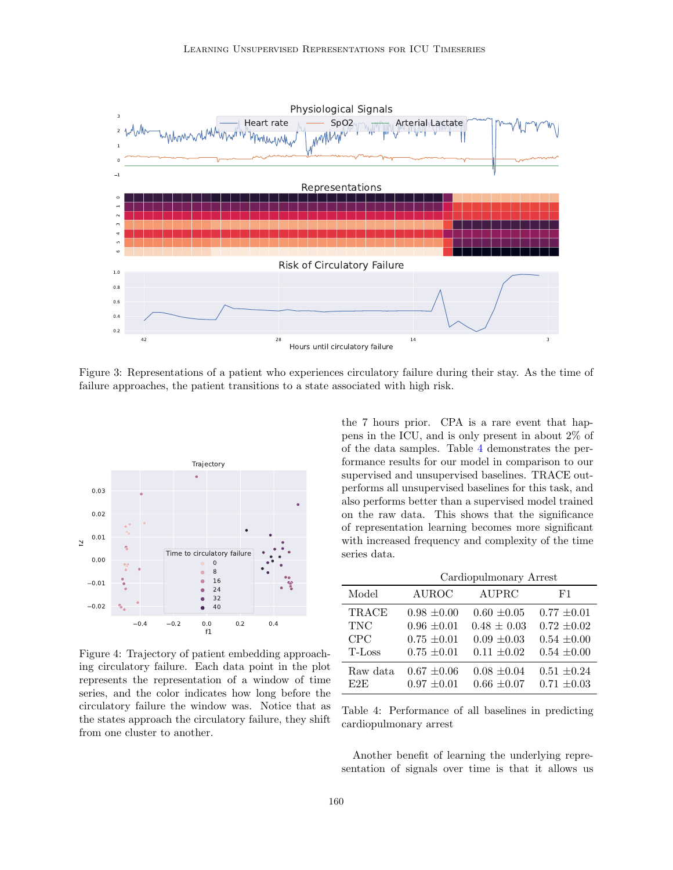<span id="page-8-0"></span>

Figure 3: Representations of a patient who experiences circulatory failure during their stay. As the time of failure approaches, the patient transitions to a state associated with high risk.

<span id="page-8-1"></span>

Figure 4: Trajectory of patient embedding approaching circulatory failure. Each data point in the plot represents the representation of a window of time series, and the color indicates how long before the circulatory failure the window was. Notice that as the states approach the circulatory failure, they shift from one cluster to another.

the 7 hours prior. CPA is a rare event that happens in the ICU, and is only present in about 2% of of the data samples. Table [4](#page-8-2) demonstrates the performance results for our model in comparison to our supervised and unsupervised baselines. TRACE outperforms all unsupervised baselines for this task, and also performs better than a supervised model trained on the raw data. This shows that the significance of representation learning becomes more significant with increased frequency and complexity of the time series data.

<span id="page-8-2"></span>

|            | Cardiopulmonary Arrest |                 |                 |
|------------|------------------------|-----------------|-----------------|
| Model      | <b>AUROC</b>           | AUPRC           | F1              |
| TRACE      | $0.98 \pm 0.00$        | $0.60 \pm 0.05$ | $0.77 \pm 0.01$ |
| <b>TNC</b> | $0.96 \pm 0.01$        | $0.48 \pm 0.03$ | $0.72 \pm 0.02$ |
| CPC        | $0.75 \pm 0.01$        | $0.09 \pm 0.03$ | $0.54 \pm 0.00$ |
| T-Loss     | $0.75 \pm 0.01$        | $0.11 \pm 0.02$ | $0.54 \pm 0.00$ |
| Raw data   | $0.67 \pm 0.06$        | $0.08 \pm 0.04$ | $0.51 \pm 0.24$ |
| E2E        | $0.97 \pm 0.01$        | $0.66 \pm 0.07$ | $0.71 \pm 0.03$ |

Table 4: Performance of all baselines in predicting cardiopulmonary arrest

Another benefit of learning the underlying representation of signals over time is that it allows us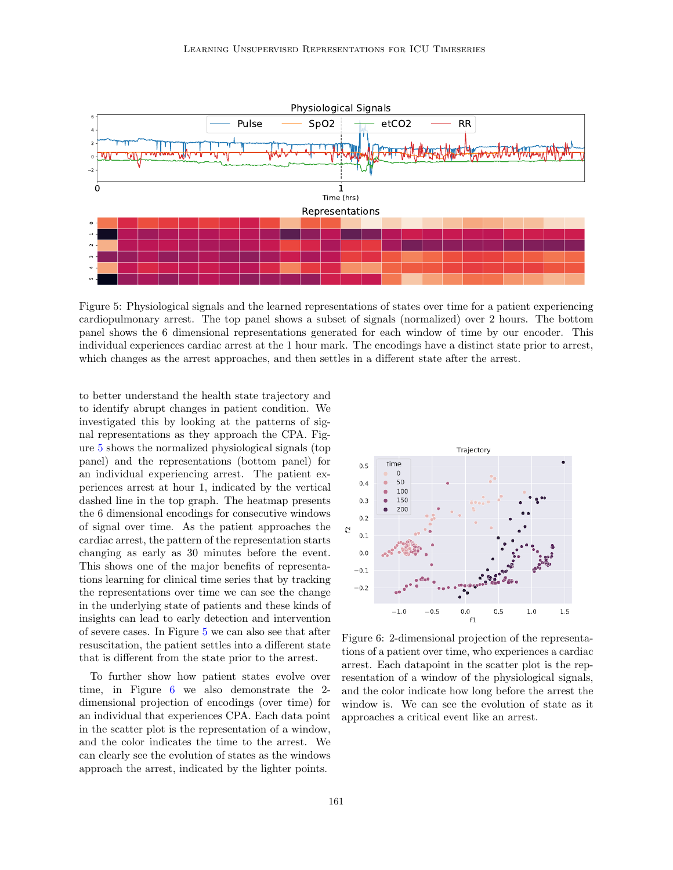<span id="page-9-0"></span>

Figure 5: Physiological signals and the learned representations of states over time for a patient experiencing cardiopulmonary arrest. The top panel shows a subset of signals (normalized) over 2 hours. The bottom panel shows the 6 dimensional representations generated for each window of time by our encoder. This individual experiences cardiac arrest at the 1 hour mark. The encodings have a distinct state prior to arrest, which changes as the arrest approaches, and then settles in a different state after the arrest.

to better understand the health state trajectory and to identify abrupt changes in patient condition. We investigated this by looking at the patterns of signal representations as they approach the CPA. Figure [5](#page-9-0) shows the normalized physiological signals (top panel) and the representations (bottom panel) for an individual experiencing arrest. The patient experiences arrest at hour 1, indicated by the vertical dashed line in the top graph. The heatmap presents the 6 dimensional encodings for consecutive windows of signal over time. As the patient approaches the cardiac arrest, the pattern of the representation starts changing as early as 30 minutes before the event. This shows one of the major benefits of representations learning for clinical time series that by tracking the representations over time we can see the change in the underlying state of patients and these kinds of insights can lead to early detection and intervention of severe cases. In Figure [5](#page-9-0) we can also see that after resuscitation, the patient settles into a different state that is different from the state prior to the arrest.

To further show how patient states evolve over time, in Figure [6](#page-9-1) we also demonstrate the 2 dimensional projection of encodings (over time) for an individual that experiences CPA. Each data point in the scatter plot is the representation of a window, and the color indicates the time to the arrest. We can clearly see the evolution of states as the windows approach the arrest, indicated by the lighter points.

<span id="page-9-1"></span>

Figure 6: 2-dimensional projection of the representations of a patient over time, who experiences a cardiac arrest. Each datapoint in the scatter plot is the representation of a window of the physiological signals, and the color indicate how long before the arrest the window is. We can see the evolution of state as it approaches a critical event like an arrest.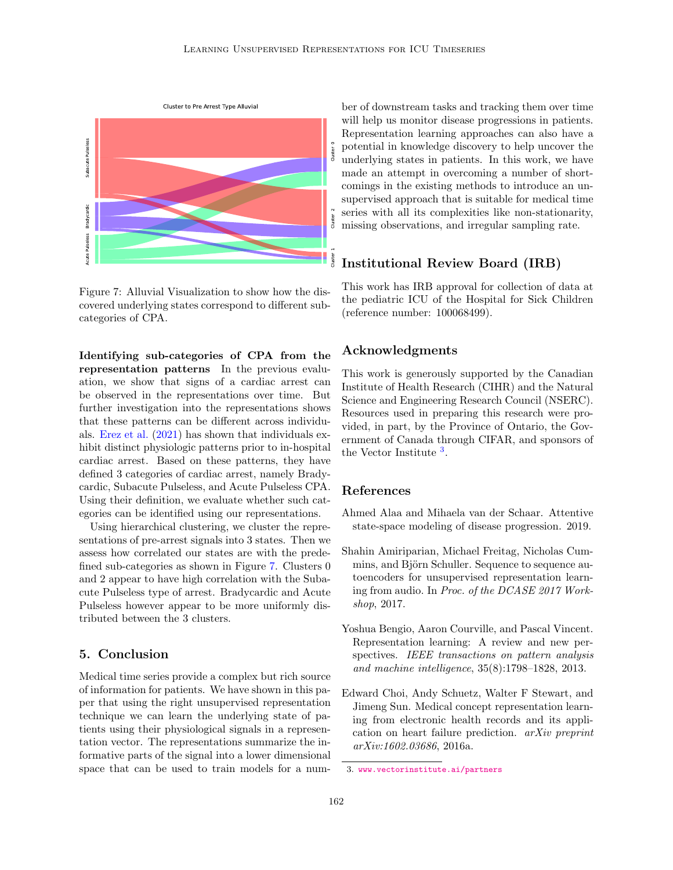<span id="page-10-4"></span>

Figure 7: Alluvial Visualization to show how the discovered underlying states correspond to different subcategories of CPA.

Identifying sub-categories of CPA from the representation patterns In the previous evaluation, we show that signs of a cardiac arrest can be observed in the representations over time. But further investigation into the representations shows that these patterns can be different across individuals. [Erez et al.](#page-11-19) [\(2021\)](#page-11-19) has shown that individuals exhibit distinct physiologic patterns prior to in-hospital cardiac arrest. Based on these patterns, they have defined 3 categories of cardiac arrest, namely Bradycardic, Subacute Pulseless, and Acute Pulseless CPA. Using their definition, we evaluate whether such categories can be identified using our representations.

Using hierarchical clustering, we cluster the representations of pre-arrest signals into 3 states. Then we assess how correlated our states are with the predefined sub-categories as shown in Figure [7.](#page-10-4) Clusters 0 and 2 appear to have high correlation with the Subacute Pulseless type of arrest. Bradycardic and Acute Pulseless however appear to be more uniformly distributed between the 3 clusters.

## 5. Conclusion

Medical time series provide a complex but rich source of information for patients. We have shown in this paper that using the right unsupervised representation technique we can learn the underlying state of patients using their physiological signals in a representation vector. The representations summarize the informative parts of the signal into a lower dimensional space that can be used to train models for a number of downstream tasks and tracking them over time will help us monitor disease progressions in patients. Representation learning approaches can also have a potential in knowledge discovery to help uncover the underlying states in patients. In this work, we have made an attempt in overcoming a number of shortcomings in the existing methods to introduce an unsupervised approach that is suitable for medical time series with all its complexities like non-stationarity, missing observations, and irregular sampling rate.

## Institutional Review Board (IRB)

This work has IRB approval for collection of data at the pediatric ICU of the Hospital for Sick Children (reference number: 100068499).

## Acknowledgments

This work is generously supported by the Canadian Institute of Health Research (CIHR) and the Natural Science and Engineering Research Council (NSERC). Resources used in preparing this research were provided, in part, by the Province of Ontario, the Government of Canada through CIFAR, and sponsors of the Vector Institute<sup>[3](#page-10-5)</sup>.

### References

- <span id="page-10-2"></span>Ahmed Alaa and Mihaela van der Schaar. Attentive state-space modeling of disease progression. 2019.
- <span id="page-10-3"></span>Shahin Amiriparian, Michael Freitag, Nicholas Cummins, and Björn Schuller. Sequence to sequence autoencoders for unsupervised representation learning from audio. In Proc. of the DCASE 2017 Workshop, 2017.
- <span id="page-10-0"></span>Yoshua Bengio, Aaron Courville, and Pascal Vincent. Representation learning: A review and new perspectives. IEEE transactions on pattern analysis and machine intelligence, 35(8):1798–1828, 2013.
- <span id="page-10-1"></span>Edward Choi, Andy Schuetz, Walter F Stewart, and Jimeng Sun. Medical concept representation learning from electronic health records and its application on heart failure prediction. arXiv preprint arXiv:1602.03686, 2016a.

<span id="page-10-5"></span><sup>3.</sup> <www.vectorinstitute.ai/partners>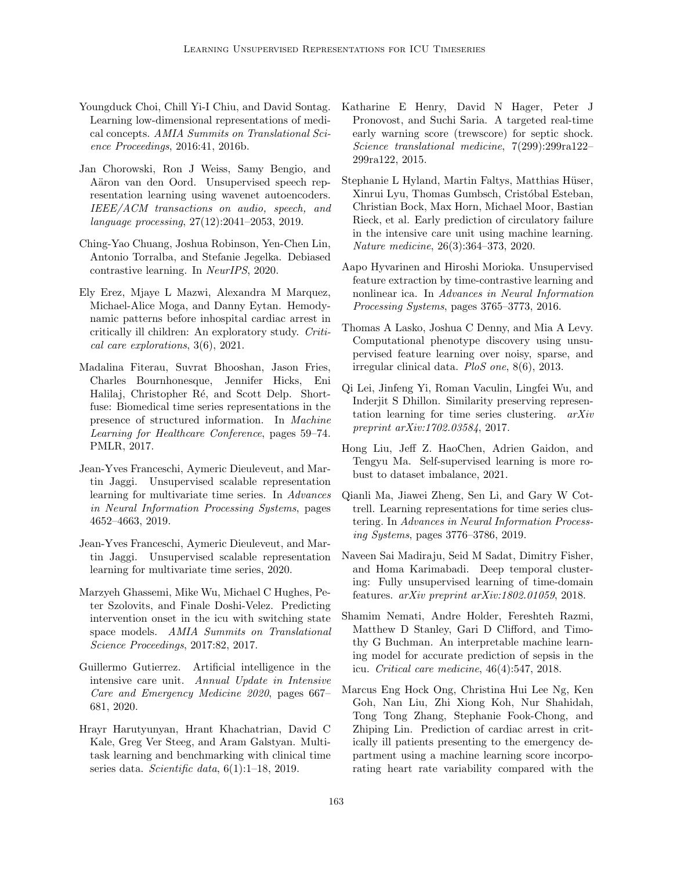- <span id="page-11-7"></span>Youngduck Choi, Chill Yi-I Chiu, and David Sontag. Learning low-dimensional representations of medical concepts. AMIA Summits on Translational Science Proceedings, 2016:41, 2016b.
- <span id="page-11-11"></span>Jan Chorowski, Ron J Weiss, Samy Bengio, and Aäron van den Oord. Unsupervised speech representation learning using wavenet autoencoders. IEEE/ACM transactions on audio, speech, and language processing, 27(12):2041–2053, 2019.
- <span id="page-11-18"></span>Ching-Yao Chuang, Joshua Robinson, Yen-Chen Lin, Antonio Torralba, and Stefanie Jegelka. Debiased contrastive learning. In NeurIPS, 2020.
- <span id="page-11-19"></span>Ely Erez, Mjaye L Mazwi, Alexandra M Marquez, Michael-Alice Moga, and Danny Eytan. Hemodynamic patterns before inhospital cardiac arrest in critically ill children: An exploratory study. Critical care explorations, 3(6), 2021.
- <span id="page-11-8"></span>Madalina Fiterau, Suvrat Bhooshan, Jason Fries, Charles Bournhonesque, Jennifer Hicks, Eni Halilaj, Christopher Ré, and Scott Delp. Shortfuse: Biomedical time series representations in the presence of structured information. In Machine Learning for Healthcare Conference, pages 59–74. PMLR, 2017.
- <span id="page-11-15"></span>Jean-Yves Franceschi, Aymeric Dieuleveut, and Martin Jaggi. Unsupervised scalable representation learning for multivariate time series. In Advances in Neural Information Processing Systems, pages 4652–4663, 2019.
- <span id="page-11-17"></span>Jean-Yves Franceschi, Aymeric Dieuleveut, and Martin Jaggi. Unsupervised scalable representation learning for multivariate time series, 2020.
- <span id="page-11-4"></span>Marzyeh Ghassemi, Mike Wu, Michael C Hughes, Peter Szolovits, and Finale Doshi-Velez. Predicting intervention onset in the icu with switching state space models. AMIA Summits on Translational Science Proceedings, 2017:82, 2017.
- <span id="page-11-2"></span>Guillermo Gutierrez. Artificial intelligence in the intensive care unit. Annual Update in Intensive Care and Emergency Medicine 2020, pages 667– 681, 2020.
- <span id="page-11-10"></span>Hrayr Harutyunyan, Hrant Khachatrian, David C Kale, Greg Ver Steeg, and Aram Galstyan. Multitask learning and benchmarking with clinical time series data. Scientific data,  $6(1):1-18$ , 2019.
- <span id="page-11-6"></span>Katharine E Henry, David N Hager, Peter J Pronovost, and Suchi Saria. A targeted real-time early warning score (trewscore) for septic shock. Science translational medicine, 7(299):299ra122– 299ra122, 2015.
- <span id="page-11-0"></span>Stephanie L Hyland, Martin Faltys, Matthias Hüser, Xinrui Lyu, Thomas Gumbsch, Cristóbal Esteban, Christian Bock, Max Horn, Michael Moor, Bastian Rieck, et al. Early prediction of circulatory failure in the intensive care unit using machine learning. Nature medicine, 26(3):364–373, 2020.
- <span id="page-11-16"></span>Aapo Hyvarinen and Hiroshi Morioka. Unsupervised feature extraction by time-contrastive learning and nonlinear ica. In Advances in Neural Information Processing Systems, pages 3765–3773, 2016.
- <span id="page-11-9"></span>Thomas A Lasko, Joshua C Denny, and Mia A Levy. Computational phenotype discovery using unsupervised feature learning over noisy, sparse, and irregular clinical data. PloS one, 8(6), 2013.
- <span id="page-11-12"></span>Qi Lei, Jinfeng Yi, Roman Vaculin, Lingfei Wu, and Inderjit S Dhillon. Similarity preserving representation learning for time series clustering. arXiv preprint arXiv:1702.03584, 2017.
- <span id="page-11-3"></span>Hong Liu, Jeff Z. HaoChen, Adrien Gaidon, and Tengyu Ma. Self-supervised learning is more robust to dataset imbalance, 2021.
- <span id="page-11-13"></span>Qianli Ma, Jiawei Zheng, Sen Li, and Gary W Cottrell. Learning representations for time series clustering. In Advances in Neural Information Processing Systems, pages 3776–3786, 2019.
- <span id="page-11-14"></span>Naveen Sai Madiraju, Seid M Sadat, Dimitry Fisher, and Homa Karimabadi. Deep temporal clustering: Fully unsupervised learning of time-domain features. arXiv preprint arXiv:1802.01059, 2018.
- <span id="page-11-5"></span>Shamim Nemati, Andre Holder, Fereshteh Razmi, Matthew D Stanley, Gari D Clifford, and Timothy G Buchman. An interpretable machine learning model for accurate prediction of sepsis in the icu. Critical care medicine, 46(4):547, 2018.
- <span id="page-11-1"></span>Marcus Eng Hock Ong, Christina Hui Lee Ng, Ken Goh, Nan Liu, Zhi Xiong Koh, Nur Shahidah, Tong Tong Zhang, Stephanie Fook-Chong, and Zhiping Lin. Prediction of cardiac arrest in critically ill patients presenting to the emergency department using a machine learning score incorporating heart rate variability compared with the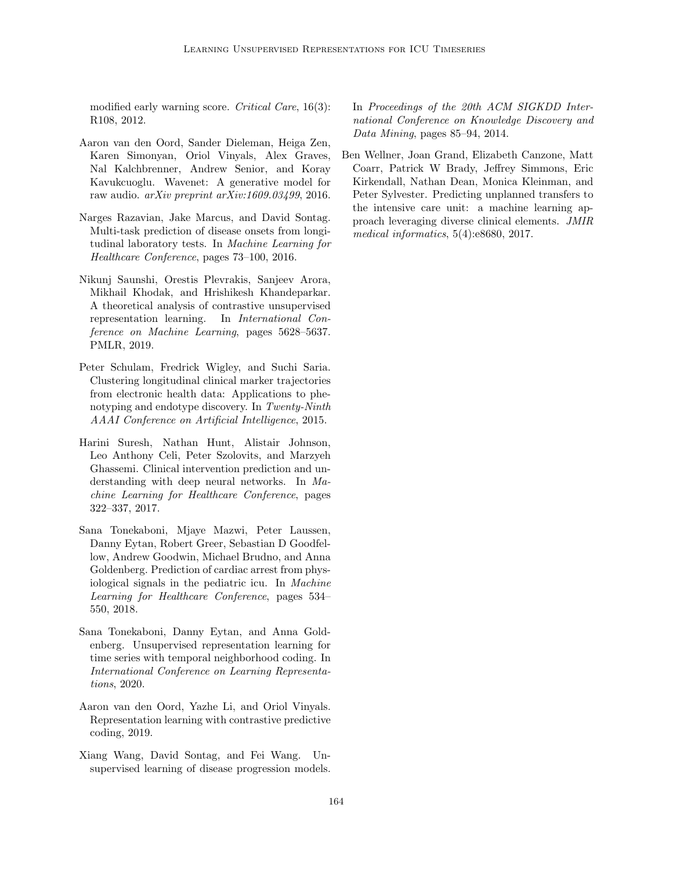modified early warning score. Critical Care, 16(3): R108, 2012.

- <span id="page-12-7"></span>Aaron van den Oord, Sander Dieleman, Heiga Zen, Karen Simonyan, Oriol Vinyals, Alex Graves, Nal Kalchbrenner, Andrew Senior, and Koray Kavukcuoglu. Wavenet: A generative model for raw audio.  $arXiv$  preprint  $arXiv:1609.03499$ , 2016.
- <span id="page-12-1"></span>Narges Razavian, Jake Marcus, and David Sontag. Multi-task prediction of disease onsets from longitudinal laboratory tests. In Machine Learning for Healthcare Conference, pages 73–100, 2016.
- <span id="page-12-8"></span>Nikunj Saunshi, Orestis Plevrakis, Sanjeev Arora, Mikhail Khodak, and Hrishikesh Khandeparkar. A theoretical analysis of contrastive unsupervised representation learning. In International Conference on Machine Learning, pages 5628–5637. PMLR, 2019.
- <span id="page-12-5"></span>Peter Schulam, Fredrick Wigley, and Suchi Saria. Clustering longitudinal clinical marker trajectories from electronic health data: Applications to phenotyping and endotype discovery. In Twenty-Ninth AAAI Conference on Artificial Intelligence, 2015.
- <span id="page-12-0"></span>Harini Suresh, Nathan Hunt, Alistair Johnson, Leo Anthony Celi, Peter Szolovits, and Marzyeh Ghassemi. Clinical intervention prediction and understanding with deep neural networks. In Machine Learning for Healthcare Conference, pages 322–337, 2017.
- <span id="page-12-3"></span>Sana Tonekaboni, Mjaye Mazwi, Peter Laussen, Danny Eytan, Robert Greer, Sebastian D Goodfellow, Andrew Goodwin, Michael Brudno, and Anna Goldenberg. Prediction of cardiac arrest from physiological signals in the pediatric icu. In Machine Learning for Healthcare Conference, pages 534– 550, 2018.
- <span id="page-12-2"></span>Sana Tonekaboni, Danny Eytan, and Anna Goldenberg. Unsupervised representation learning for time series with temporal neighborhood coding. In International Conference on Learning Representations, 2020.
- <span id="page-12-9"></span>Aaron van den Oord, Yazhe Li, and Oriol Vinyals. Representation learning with contrastive predictive coding, 2019.
- <span id="page-12-6"></span>Xiang Wang, David Sontag, and Fei Wang. Unsupervised learning of disease progression models.

In Proceedings of the 20th ACM SIGKDD International Conference on Knowledge Discovery and Data Mining, pages 85–94, 2014.

<span id="page-12-4"></span>Ben Wellner, Joan Grand, Elizabeth Canzone, Matt Coarr, Patrick W Brady, Jeffrey Simmons, Eric Kirkendall, Nathan Dean, Monica Kleinman, and Peter Sylvester. Predicting unplanned transfers to the intensive care unit: a machine learning approach leveraging diverse clinical elements. JMIR medical informatics, 5(4):e8680, 2017.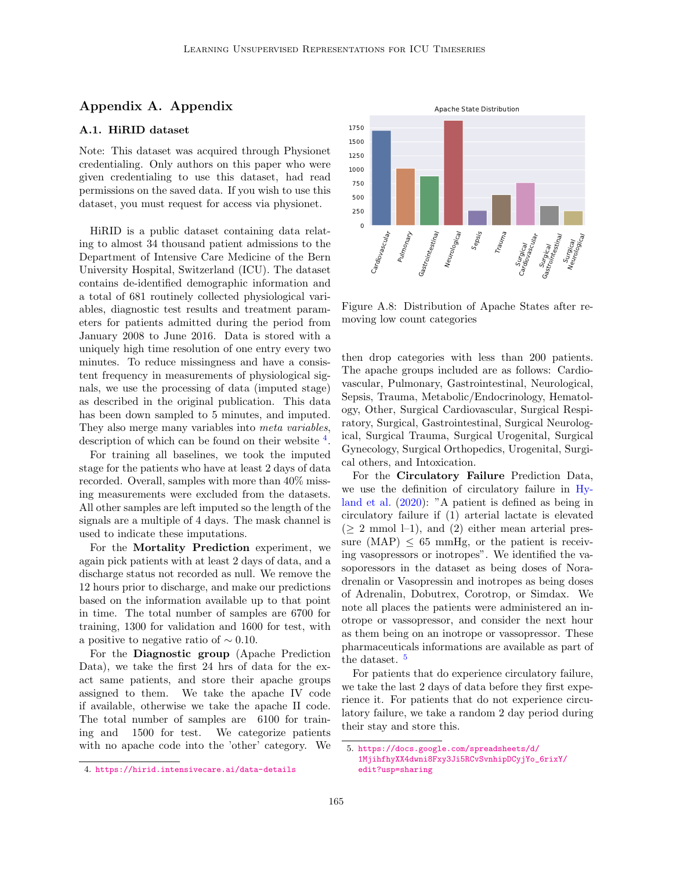## Appendix A. Appendix

### <span id="page-13-0"></span>A.1. HiRID dataset

Note: This dataset was acquired through Physionet credentialing. Only authors on this paper who were given credentialing to use this dataset, had read permissions on the saved data. If you wish to use this dataset, you must request for access via physionet.

HiRID is a public dataset containing data relating to almost 34 thousand patient admissions to the Department of Intensive Care Medicine of the Bern University Hospital, Switzerland (ICU). The dataset contains de-identified demographic information and a total of 681 routinely collected physiological variables, diagnostic test results and treatment parameters for patients admitted during the period from January 2008 to June 2016. Data is stored with a uniquely high time resolution of one entry every two minutes. To reduce missingness and have a consistent frequency in measurements of physiological signals, we use the processing of data (imputed stage) as described in the original publication. This data has been down sampled to 5 minutes, and imputed. They also merge many variables into meta variables, description of which can be found on their website  $4$ . Finith's a punit unaser containing tian teams<br>
for the Distribution of Intensive Care Medicine of the Bern red Henric Christian<br>
for the Meinster of the Bern Henric Intensity Illospital, Switzerland (ICU). The dataset<br>
or

For training all baselines, we took the imputed stage for the patients who have at least 2 days of data recorded. Overall, samples with more than 40% missing measurements were excluded from the datasets. All other samples are left imputed so the length of the signals are a multiple of 4 days. The mask channel is used to indicate these imputations.

For the Mortality Prediction experiment, we again pick patients with at least 2 days of data, and a discharge status not recorded as null. We remove the 12 hours prior to discharge, and make our predictions based on the information available up to that point in time. The total number of samples are 6700 for training, 1300 for validation and 1600 for test, with a positive to negative ratio of  $\sim 0.10$ .

For the Diagnostic group (Apache Prediction Data), we take the first 24 hrs of data for the exact same patients, and store their apache groups assigned to them. We take the apache IV code if available, otherwise we take the apache II code. The total number of samples are 6100 for training and 1500 for test. We categorize patients with no apache code into the 'other' category. We



Figure A.8: Distribution of Apache States after removing low count categories

then drop categories with less than 200 patients. The apache groups included are as follows: Cardiovascular, Pulmonary, Gastrointestinal, Neurological, Sepsis, Trauma, Metabolic/Endocrinology, Hematology, Other, Surgical Cardiovascular, Surgical Respiratory, Surgical, Gastrointestinal, Surgical Neurological, Surgical Trauma, Surgical Urogenital, Surgical Gynecology, Surgical Orthopedics, Urogenital, Surgical others, and Intoxication.

For the Circulatory Failure Prediction Data, we use the definition of circulatory failure in [Hy](#page-11-0)[land et al.](#page-11-0) [\(2020\)](#page-11-0): "A patient is defined as being in circulatory failure if (1) arterial lactate is elevated  $(\geq 2 \text{ mmol } -1)$ , and  $(2)$  either mean arterial pressure  $(MAP) < 65$  mmHg, or the patient is receiving vasopressors or inotropes". We identified the vasoporessors in the dataset as being doses of Noradrenalin or Vasopressin and inotropes as being doses of Adrenalin, Dobutrex, Corotrop, or Simdax. We note all places the patients were administered an inotrope or vassopressor, and consider the next hour as them being on an inotrope or vassopressor. These pharmaceuticals informations are available as part of the dataset.<sup>[5](#page-13-2)</sup>

For patients that do experience circulatory failure, we take the last 2 days of data before they first experience it. For patients that do not experience circulatory failure, we take a random 2 day period during their stay and store this.

<span id="page-13-2"></span><sup>5.</sup> [https://docs.google.com/spreadsheets/d/](https://docs.google.com/spreadsheets/d/1MjihfhyXX4dwni8Fxy3Ji5RCvSvnhipDCyjYo_6rixY/edit?usp=sharing) [1MjihfhyXX4dwni8Fxy3Ji5RCvSvnhipDCyjYo\\_6rixY/](https://docs.google.com/spreadsheets/d/1MjihfhyXX4dwni8Fxy3Ji5RCvSvnhipDCyjYo_6rixY/edit?usp=sharing) [edit?usp=sharing](https://docs.google.com/spreadsheets/d/1MjihfhyXX4dwni8Fxy3Ji5RCvSvnhipDCyjYo_6rixY/edit?usp=sharing)

<span id="page-13-1"></span>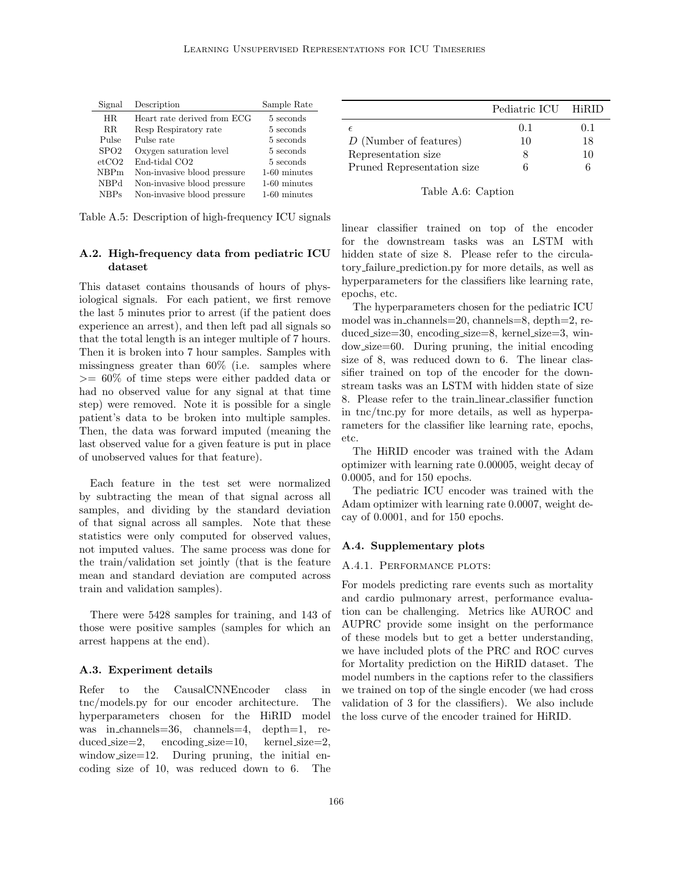| Signal      | Description                 | Sample Rate  |
|-------------|-----------------------------|--------------|
| HR.         | Heart rate derived from ECG | 5 seconds    |
| $_{\rm RR}$ | Resp Respiratory rate       | 5 seconds    |
| Pulse       | Pulse rate                  | 5 seconds    |
| SPO2        | Oxygen saturation level     | 5 seconds    |
| etcO2       | End-tidal CO <sub>2</sub>   | 5 seconds    |
| NBPm        | Non-invasive blood pressure | 1-60 minutes |
| <b>NBPd</b> | Non-invasive blood pressure | 1-60 minutes |
| NBPs        | Non-invasive blood pressure | 1-60 minutes |

Table A.5: Description of high-frequency ICU signals

### <span id="page-14-1"></span>A.2. High-frequency data from pediatric ICU dataset

This dataset contains thousands of hours of physiological signals. For each patient, we first remove the last 5 minutes prior to arrest (if the patient does experience an arrest), and then left pad all signals so that the total length is an integer multiple of 7 hours. Then it is broken into 7 hour samples. Samples with missingness greater than 60% (i.e. samples where >= 60% of time steps were either padded data or had no observed value for any signal at that time step) were removed. Note it is possible for a single patient's data to be broken into multiple samples. Then, the data was forward imputed (meaning the last observed value for a given feature is put in place of unobserved values for that feature).

Each feature in the test set were normalized by subtracting the mean of that signal across all samples, and dividing by the standard deviation of that signal across all samples. Note that these statistics were only computed for observed values, not imputed values. The same process was done for the train/validation set jointly (that is the feature mean and standard deviation are computed across train and validation samples).

There were 5428 samples for training, and 143 of those were positive samples (samples for which an arrest happens at the end).

### A.3. Experiment details

Refer to the CausalCNNEncoder class in tnc/models.py for our encoder architecture. The hyperparameters chosen for the HiRID model was in channels=36, channels=4, depth=1, reduced\_size=2, encoding\_size=10, kernel\_size=2, window\_size=12. During pruning, the initial encoding size of 10, was reduced down to 6. The

|                            | Pediatric ICU HiRID |     |
|----------------------------|---------------------|-----|
|                            | 0.1                 | 0.1 |
| D (Number of features)     | 10                  | 18  |
| Representation size        |                     | 10  |
| Pruned Representation size |                     | 6   |

#### Table A.6: Caption

linear classifier trained on top of the encoder for the downstream tasks was an LSTM with hidden state of size 8. Please refer to the circulatory failure prediction.py for more details, as well as hyperparameters for the classifiers like learning rate, epochs, etc.

The hyperparameters chosen for the pediatric ICU model was in channels=20, channels=8, depth=2, reduced size=30, encoding size=8, kernel size=3, window size=60. During pruning, the initial encoding size of 8, was reduced down to 6. The linear classifier trained on top of the encoder for the downstream tasks was an LSTM with hidden state of size 8. Please refer to the train linear classifier function in tnc/tnc.py for more details, as well as hyperparameters for the classifier like learning rate, epochs, etc.

The HiRID encoder was trained with the Adam optimizer with learning rate 0.00005, weight decay of 0.0005, and for 150 epochs.

The pediatric ICU encoder was trained with the Adam optimizer with learning rate 0.0007, weight decay of 0.0001, and for 150 epochs.

#### <span id="page-14-0"></span>A.4. Supplementary plots

#### A.4.1. PERFORMANCE PLOTS:

For models predicting rare events such as mortality and cardio pulmonary arrest, performance evaluation can be challenging. Metrics like AUROC and AUPRC provide some insight on the performance of these models but to get a better understanding, we have included plots of the PRC and ROC curves for Mortality prediction on the HiRID dataset. The model numbers in the captions refer to the classifiers we trained on top of the single encoder (we had cross validation of 3 for the classifiers). We also include the loss curve of the encoder trained for HiRID.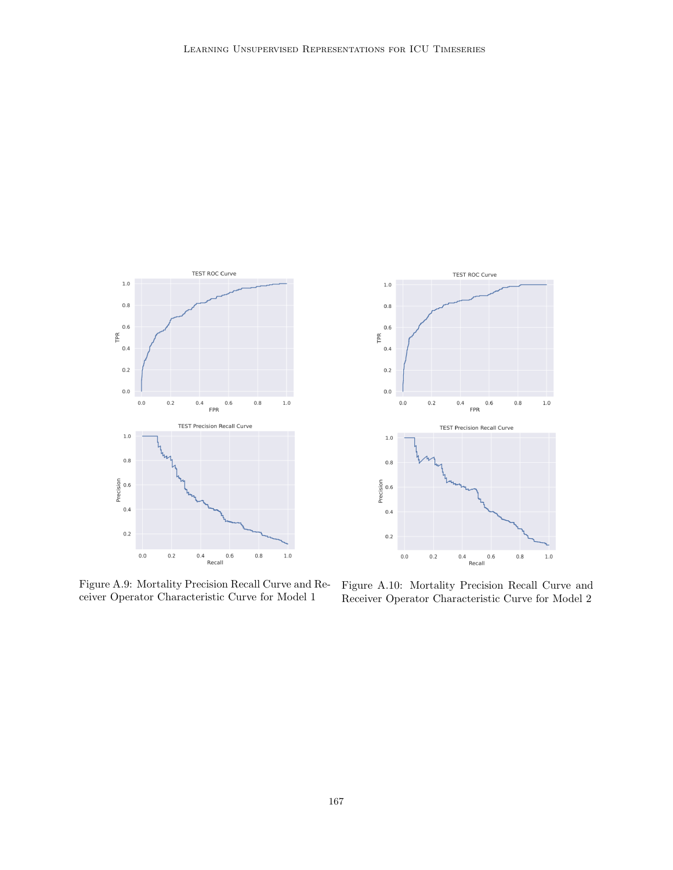

**TEST ROC Curve**  $1.0\,$  $0.8$  $0.6\,$ TPR  $0.4$  $0.2$  $_{0.0}$  $_{0.0}$  $0.2$  $0.4\,$  $0.6$  $_{0.8}$  $1.0\,$ FPR **TEST Precision Recall Curve**  $1.0\,$  $0.8$ Precision<br>0.6  $0.4$  $0.2$  $0.4$   $0.6$ <br>Recall  $_{0.0}$  $0.2$  $0.8\,$  $1.0\,$ 

Figure A.9: Mortality Precision Recall Curve and Receiver Operator Characteristic Curve for Model 1

Figure A.10: Mortality Precision Recall Curve and Receiver Operator Characteristic Curve for Model 2